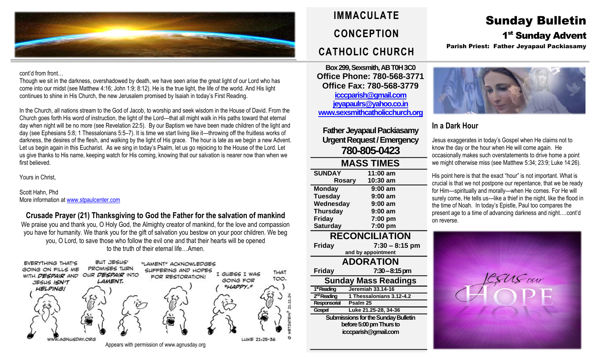

#### cont'd from front…

Though we sit in the darkness, overshadowed by death, we have seen arise the great light of our Lord who has come into our midst (see Matthew 4:16; John 1:9; 8:12). He is the true light, the life of the world. And His light continues to shine in His Church, the new Jerusalem promised by Isaiah in today's First Reading.

In the Church, all nations stream to the God of Jacob, to worship and seek wisdom in the House of David. From the Church goes forth His word of instruction, the light of the Lord—that all might walk in His paths toward that eternal day when night will be no more (see Revelation 22:5). By our Baptism we have been made children of the light and day (see Ephesians 5:8; 1 Thessalonians 5:5–7). It is time we start living like it—throwing off the fruitless works of darkness, the desires of the flesh, and walking by the light of His grace. The hour is late as we begin a new Advent. Let us begin again in this Eucharist. As we sing in today's Psalm, let us go rejoicing to the House of the Lord. Let us give thanks to His name, keeping watch for His coming, knowing that our salvation is nearer now than when we first believed.

Yours in Christ,

Scott Hahn, Phd More information a[t www.stpaulcenter.com](http://www.stpaulcenter.com/)

**Crusade Prayer (21) Thanksgiving to God the Father for the salvation of mankind** We praise you and thank you, O Holy God, the Almighty creator of mankind, for the love and compassion you have for humanity. We thank you for the gift of salvation you bestow on your poor children. We beg you, O Lord, to save those who follow the evil one and that their hearts will be opened to the truth of their eternal life…Amen.



## **IMMACULATE CONCEPTION CATHOLIC CHURCH**

**Box 299, Sexsmith, AB T0H 3C0 Office Phone: 780-568-3771 Office Fax: 780-568-3779 [icccparish@gmail.com](mailto:icccparish@gmail.com) [jeyapaulrs@yahoo.co.in](mailto:jeyapaulrs@yahoo.co.in) [www.sexsmithcatholicchurch.org](http://www.sexsmithcatholicchurch.org/)**

**Father Jeyapaul Packiasamy Urgent Request/Emergency 780-805-0423**

| <b>MASS TIMES</b>                          |                          |  |  |  |  |
|--------------------------------------------|--------------------------|--|--|--|--|
| <b>SUNDAY</b>                              | 11:00 am                 |  |  |  |  |
| <b>Rosary</b>                              | 10:30 am                 |  |  |  |  |
| <b>Monday</b>                              | 9:00 am                  |  |  |  |  |
| <b>Tuesday</b>                             | 9:00 am                  |  |  |  |  |
| Wednesday                                  | 9:00 am                  |  |  |  |  |
| <b>Thursday</b>                            | 9:00 am                  |  |  |  |  |
| <b>Friday</b>                              | 7:00 pm                  |  |  |  |  |
| <b>Saturday</b>                            | 7:00 pm                  |  |  |  |  |
| <b>RECONCILIATION</b>                      |                          |  |  |  |  |
| Friday                                     | $7:30 - 8:15$ pm         |  |  |  |  |
| and by appointment                         |                          |  |  |  |  |
| <b>ADORATION</b>                           |                          |  |  |  |  |
| Friday                                     | $7:30-8:15 \text{ pm}$   |  |  |  |  |
| <b>Sunday Mass Readings</b>                |                          |  |  |  |  |
| 1 <sup>st</sup> Reading                    | Jeremiah 33.14-16        |  |  |  |  |
| 2 <sup>nd</sup> Reading                    | 1 Thessalonians 3.12-4.2 |  |  |  |  |
| Responsorial                               | Psalm <sub>25</sub>      |  |  |  |  |
| Gospel                                     | Luke 21.25-28, 34-36     |  |  |  |  |
| <b>Submissions for the Sunday Bulletin</b> |                          |  |  |  |  |
| before 5:00 pm Thurs to                    |                          |  |  |  |  |
| icccparish@gmail.com                       |                          |  |  |  |  |
|                                            |                          |  |  |  |  |

# Sunday Bulletin

1<sup>st</sup> Sunday Advent

Parish Priest: Father Jeyapaul Packiasamy



## **In a Dark Hour**

Jesus exaggerates in today's Gospel when He claims not to know the day or the hour when He will come again. He occasionally makes such overstatements to drive home a point we might otherwise miss (see Matthew 5:34; 23:9; Luke 14:26).

His point here is that the exact "hour" is not important. What is crucial is that we not postpone our repentance, that we be ready for Him—spiritually and morally—when He comes. For He will surely come, He tells us—like a thief in the night, like the flood in the time of Noah. In today's Epistle, Paul too compares the present age to a time of advancing darkness and night.…cont'd on reverse.